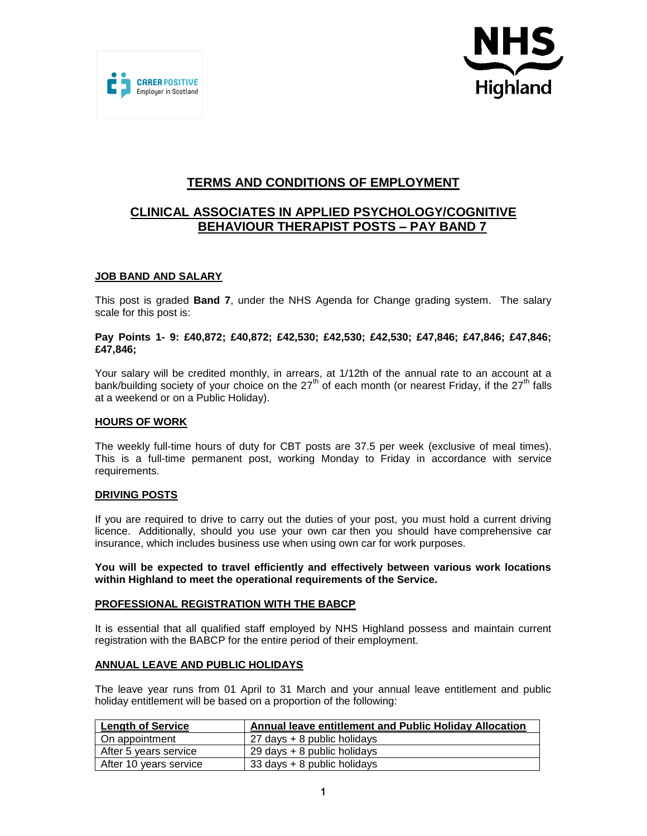



# **TERMS AND CONDITIONS OF EMPLOYMENT**

# **CLINICAL ASSOCIATES IN APPLIED PSYCHOLOGY/COGNITIVE BEHAVIOUR THERAPIST POSTS – PAY BAND 7**

## **JOB BAND AND SALARY**

This post is graded **Band 7**, under the NHS Agenda for Change grading system. The salary scale for this post is:

### **Pay Points 1- 9: £40,872; £40,872; £42,530; £42,530; £42,530; £47,846; £47,846; £47,846; £47,846;**

Your salary will be credited monthly, in arrears, at 1/12th of the annual rate to an account at a bank/building society of your choice on the  $27<sup>th</sup>$  of each month (or nearest Friday, if the  $27<sup>th</sup>$  falls at a weekend or on a Public Holiday).

### **HOURS OF WORK**

The weekly full-time hours of duty for CBT posts are 37.5 per week (exclusive of meal times). This is a full-time permanent post, working Monday to Friday in accordance with service requirements.

### **DRIVING POSTS**

If you are required to drive to carry out the duties of your post, you must hold a current driving licence. Additionally, should you use your own car then you should have comprehensive car insurance, which includes business use when using own car for work purposes.

**You will be expected to travel efficiently and effectively between various work locations within Highland to meet the operational requirements of the Service.**

### **PROFESSIONAL REGISTRATION WITH THE BABCP**

It is essential that all qualified staff employed by NHS Highland possess and maintain current registration with the BABCP for the entire period of their employment.

### **ANNUAL LEAVE AND PUBLIC HOLIDAYS**

The leave year runs from 01 April to 31 March and your annual leave entitlement and public holiday entitlement will be based on a proportion of the following:

| <b>Length of Service</b> | Annual leave entitlement and Public Holiday Allocation |
|--------------------------|--------------------------------------------------------|
| l On appointment         | 27 days + 8 public holidays                            |
| After 5 years service    | 29 days + 8 public holidays                            |
| After 10 years service   | 33 days + 8 public holidays                            |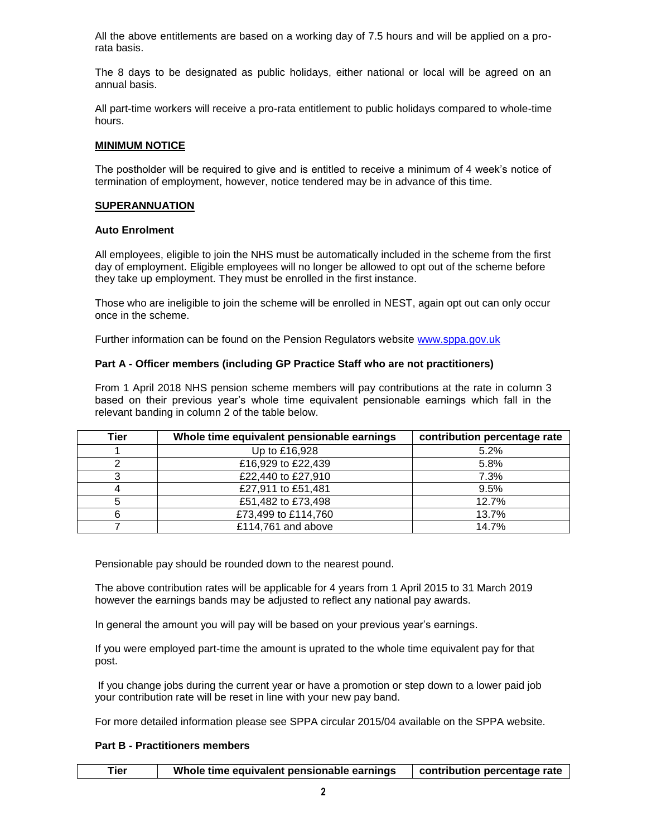All the above entitlements are based on a working day of 7.5 hours and will be applied on a prorata basis.

The 8 days to be designated as public holidays, either national or local will be agreed on an annual basis.

All part-time workers will receive a pro-rata entitlement to public holidays compared to whole-time hours.

### **MINIMUM NOTICE**

The postholder will be required to give and is entitled to receive a minimum of 4 week's notice of termination of employment, however, notice tendered may be in advance of this time.

#### **SUPERANNUATION**

#### **Auto Enrolment**

All employees, eligible to join the NHS must be automatically included in the scheme from the first day of employment. Eligible employees will no longer be allowed to opt out of the scheme before they take up employment. They must be enrolled in the first instance.

Those who are ineligible to join the scheme will be enrolled in NEST, again opt out can only occur once in the scheme.

Further information can be found on the Pension Regulators website [www.sppa.gov.uk](http://#)

### **Part A - Officer members (including GP Practice Staff who are not practitioners)**

From 1 April 2018 NHS pension scheme members will pay contributions at the rate in column 3 based on their previous year's whole time equivalent pensionable earnings which fall in the relevant banding in column 2 of the table below.

| Tier | Whole time equivalent pensionable earnings | contribution percentage rate |
|------|--------------------------------------------|------------------------------|
|      | Up to £16,928                              | 5.2%                         |
|      | £16,929 to £22,439                         | 5.8%                         |
|      | £22,440 to £27,910                         | 7.3%                         |
|      | £27,911 to £51,481                         | 9.5%                         |
|      | £51,482 to £73,498                         | 12.7%                        |
|      | £73,499 to £114,760                        | 13.7%                        |
|      | £114,761 and above                         | 14.7%                        |

Pensionable pay should be rounded down to the nearest pound.

The above contribution rates will be applicable for 4 years from 1 April 2015 to 31 March 2019 however the earnings bands may be adjusted to reflect any national pay awards.

In general the amount you will pay will be based on your previous year's earnings.

If you were employed part-time the amount is uprated to the whole time equivalent pay for that post.

If you change jobs during the current year or have a promotion or step down to a lower paid job your contribution rate will be reset in line with your new pay band.

For more detailed information please see SPPA circular 2015/04 available on the SPPA website.

### **Part B - Practitioners members**

|  | Tier | Whole time equivalent pensionable earnings | contribution percentage rate |
|--|------|--------------------------------------------|------------------------------|
|--|------|--------------------------------------------|------------------------------|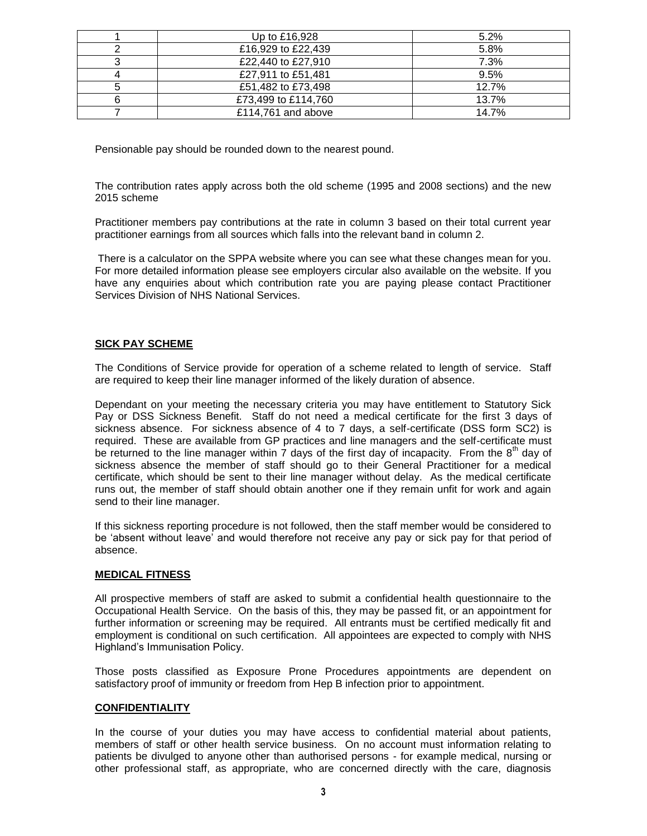| Up to £16,928       | 5.2%  |
|---------------------|-------|
| £16,929 to £22,439  | 5.8%  |
| £22,440 to £27,910  | 7.3%  |
| £27,911 to £51,481  | 9.5%  |
| £51,482 to £73,498  | 12.7% |
| £73,499 to £114,760 | 13.7% |
| £114.761 and above  | 14.7% |

Pensionable pay should be rounded down to the nearest pound.

The contribution rates apply across both the old scheme (1995 and 2008 sections) and the new 2015 scheme

Practitioner members pay contributions at the rate in column 3 based on their total current year practitioner earnings from all sources which falls into the relevant band in column 2.

There is a calculator on the SPPA website where you can see what these changes mean for you. For more detailed information please see employers circular also available on the website. If you have any enquiries about which contribution rate you are paying please contact Practitioner Services Division of NHS National Services.

## **SICK PAY SCHEME**

The Conditions of Service provide for operation of a scheme related to length of service. Staff are required to keep their line manager informed of the likely duration of absence.

Dependant on your meeting the necessary criteria you may have entitlement to Statutory Sick Pay or DSS Sickness Benefit. Staff do not need a medical certificate for the first 3 days of sickness absence. For sickness absence of 4 to 7 days, a self-certificate (DSS form SC2) is required. These are available from GP practices and line managers and the self-certificate must be returned to the line manager within 7 days of the first day of incapacity. From the  $8<sup>th</sup>$  day of sickness absence the member of staff should go to their General Practitioner for a medical certificate, which should be sent to their line manager without delay. As the medical certificate runs out, the member of staff should obtain another one if they remain unfit for work and again send to their line manager.

If this sickness reporting procedure is not followed, then the staff member would be considered to be 'absent without leave' and would therefore not receive any pay or sick pay for that period of absence.

### **MEDICAL FITNESS**

All prospective members of staff are asked to submit a confidential health questionnaire to the Occupational Health Service. On the basis of this, they may be passed fit, or an appointment for further information or screening may be required. All entrants must be certified medically fit and employment is conditional on such certification. All appointees are expected to comply with NHS Highland's Immunisation Policy.

Those posts classified as Exposure Prone Procedures appointments are dependent on satisfactory proof of immunity or freedom from Hep B infection prior to appointment.

### **CONFIDENTIALITY**

In the course of your duties you may have access to confidential material about patients, members of staff or other health service business. On no account must information relating to patients be divulged to anyone other than authorised persons - for example medical, nursing or other professional staff, as appropriate, who are concerned directly with the care, diagnosis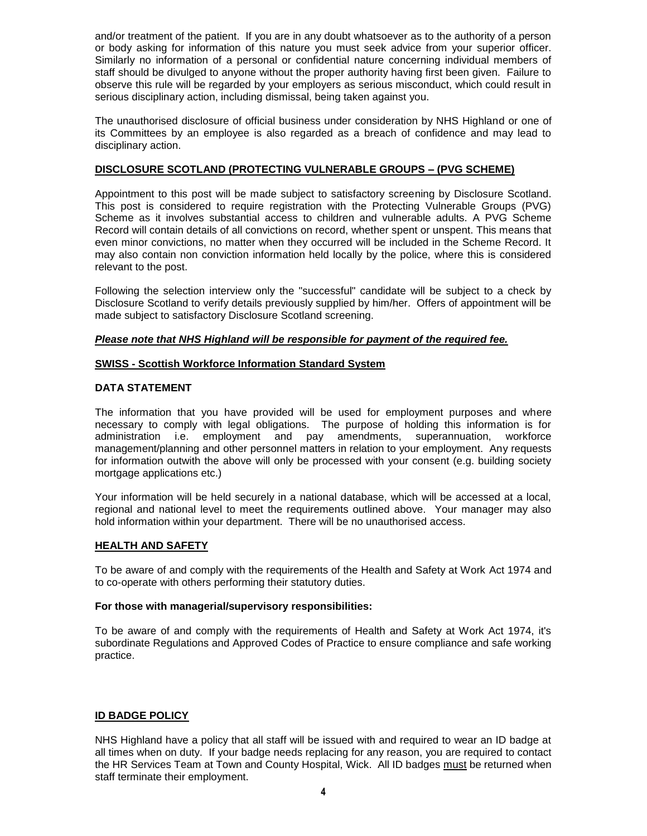and/or treatment of the patient. If you are in any doubt whatsoever as to the authority of a person or body asking for information of this nature you must seek advice from your superior officer. Similarly no information of a personal or confidential nature concerning individual members of staff should be divulged to anyone without the proper authority having first been given. Failure to observe this rule will be regarded by your employers as serious misconduct, which could result in serious disciplinary action, including dismissal, being taken against you.

The unauthorised disclosure of official business under consideration by NHS Highland or one of its Committees by an employee is also regarded as a breach of confidence and may lead to disciplinary action.

## **DISCLOSURE SCOTLAND (PROTECTING VULNERABLE GROUPS – (PVG SCHEME)**

Appointment to this post will be made subject to satisfactory screening by Disclosure Scotland. This post is considered to require registration with the Protecting Vulnerable Groups (PVG) Scheme as it involves substantial access to children and vulnerable adults. A PVG Scheme Record will contain details of all convictions on record, whether spent or unspent. This means that even minor convictions, no matter when they occurred will be included in the Scheme Record. It may also contain non conviction information held locally by the police, where this is considered relevant to the post.

Following the selection interview only the "successful" candidate will be subject to a check by Disclosure Scotland to verify details previously supplied by him/her. Offers of appointment will be made subject to satisfactory Disclosure Scotland screening.

## *Please note that NHS Highland will be responsible for payment of the required fee.*

## **SWISS - Scottish Workforce Information Standard System**

## **DATA STATEMENT**

The information that you have provided will be used for employment purposes and where necessary to comply with legal obligations. The purpose of holding this information is for administration i.e. employment and pay amendments, superannuation, workforce management/planning and other personnel matters in relation to your employment. Any requests for information outwith the above will only be processed with your consent (e.g. building society mortgage applications etc.)

Your information will be held securely in a national database, which will be accessed at a local, regional and national level to meet the requirements outlined above. Your manager may also hold information within your department. There will be no unauthorised access.

### **HEALTH AND SAFETY**

To be aware of and comply with the requirements of the Health and Safety at Work Act 1974 and to co-operate with others performing their statutory duties.

### **For those with managerial/supervisory responsibilities:**

To be aware of and comply with the requirements of Health and Safety at Work Act 1974, it's subordinate Regulations and Approved Codes of Practice to ensure compliance and safe working practice.

### **ID BADGE POLICY**

NHS Highland have a policy that all staff will be issued with and required to wear an ID badge at all times when on duty. If your badge needs replacing for any reason, you are required to contact the HR Services Team at Town and County Hospital, Wick. All ID badges must be returned when staff terminate their employment.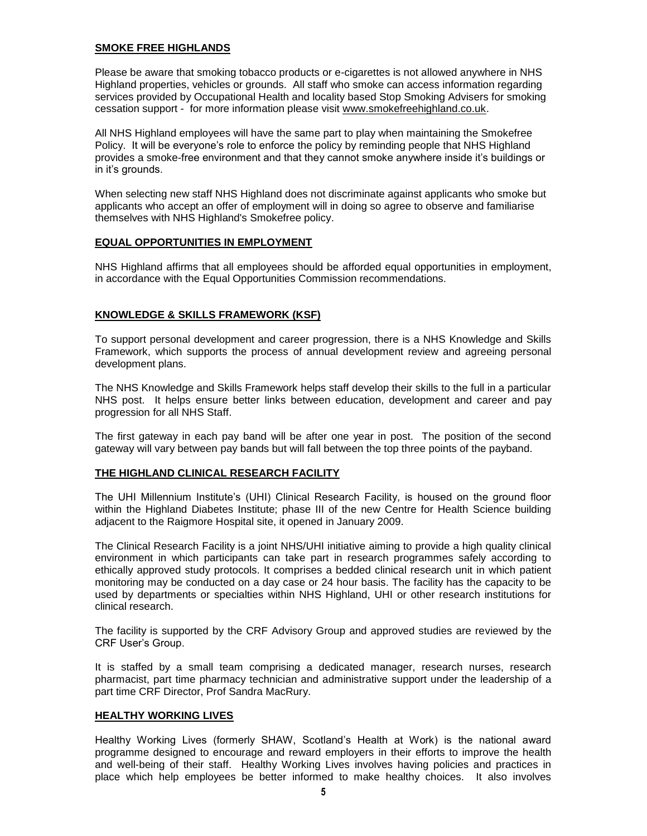## **SMOKE FREE HIGHLANDS**

Please be aware that smoking tobacco products or e-cigarettes is not allowed anywhere in NHS Highland properties, vehicles or grounds. All staff who smoke can access information regarding services provided by Occupational Health and locality based Stop Smoking Advisers for smoking cessation support - for more information please visit [www.smokefreehighland.co.uk.](http://#)

All NHS Highland employees will have the same part to play when maintaining the Smokefree Policy. It will be everyone's role to enforce the policy by reminding people that NHS Highland provides a smoke-free environment and that they cannot smoke anywhere inside it's buildings or in it's grounds.

When selecting new staff NHS Highland does not discriminate against applicants who smoke but applicants who accept an offer of employment will in doing so agree to observe and familiarise themselves with NHS Highland's Smokefree policy.

### **EQUAL OPPORTUNITIES IN EMPLOYMENT**

NHS Highland affirms that all employees should be afforded equal opportunities in employment, in accordance with the Equal Opportunities Commission recommendations.

## **KNOWLEDGE & SKILLS FRAMEWORK (KSF)**

To support personal development and career progression, there is a NHS Knowledge and Skills Framework, which supports the process of annual development review and agreeing personal development plans.

The NHS Knowledge and Skills Framework helps staff develop their skills to the full in a particular NHS post. It helps ensure better links between education, development and career and pay progression for all NHS Staff.

The first gateway in each pay band will be after one year in post. The position of the second gateway will vary between pay bands but will fall between the top three points of the payband.

### **THE HIGHLAND CLINICAL RESEARCH FACILITY**

The UHI Millennium Institute's (UHI) Clinical Research Facility, is housed on the ground floor within the Highland Diabetes Institute; phase III of the new Centre for Health Science building adjacent to the Raigmore Hospital site, it opened in January 2009.

The Clinical Research Facility is a joint NHS/UHI initiative aiming to provide a high quality clinical environment in which participants can take part in research programmes safely according to ethically approved study protocols. It comprises a bedded clinical research unit in which patient monitoring may be conducted on a day case or 24 hour basis. The facility has the capacity to be used by departments or specialties within NHS Highland, UHI or other research institutions for clinical research.

The facility is supported by the CRF Advisory Group and approved studies are reviewed by the CRF User's Group.

It is staffed by a small team comprising a dedicated manager, research nurses, research pharmacist, part time pharmacy technician and administrative support under the leadership of a part time CRF Director, Prof Sandra MacRury.

### **HEALTHY WORKING LIVES**

Healthy Working Lives (formerly SHAW, Scotland's Health at Work) is the national award programme designed to encourage and reward employers in their efforts to improve the health and well-being of their staff. Healthy Working Lives involves having policies and practices in place which help employees be better informed to make healthy choices. It also involves